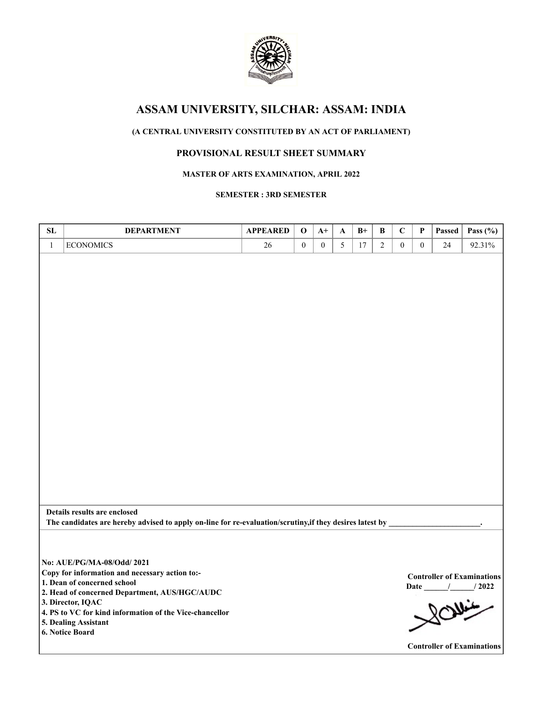

# **(A CENTRAL UNIVERSITY CONSTITUTED BY AN ACT OF PARLIAMENT)**

# **PROVISIONAL RESULT SHEET SUMMARY**

#### **MASTER OF ARTS EXAMINATION, APRIL 2022**

### **SEMESTER : 3RD SEMESTER**

| SL           | <b>DEPARTMENT</b>                                                                                                                                                                                                                                                                       | <b>APPEARED</b> | $\mathbf 0$      | $A+$             | A | $B+$   | B              | $\mathbf C$      | P        | Passed | Pass $(\% )$                                                                                  |
|--------------|-----------------------------------------------------------------------------------------------------------------------------------------------------------------------------------------------------------------------------------------------------------------------------------------|-----------------|------------------|------------------|---|--------|----------------|------------------|----------|--------|-----------------------------------------------------------------------------------------------|
| $\mathbf{1}$ | <b>ECONOMICS</b>                                                                                                                                                                                                                                                                        | $26\,$          | $\boldsymbol{0}$ | $\boldsymbol{0}$ | 5 | $17\,$ | $\overline{2}$ | $\boldsymbol{0}$ | $\theta$ | 24     | 92.31%                                                                                        |
|              |                                                                                                                                                                                                                                                                                         |                 |                  |                  |   |        |                |                  |          |        |                                                                                               |
|              | Details results are enclosed<br>The candidates are hereby advised to apply on-line for re-evaluation/scrutiny, if they desires latest by                                                                                                                                                |                 |                  |                  |   |        |                |                  |          |        |                                                                                               |
|              | No: AUE/PG/MA-08/Odd/ 2021<br>Copy for information and necessary action to:-<br>1. Dean of concerned school<br>2. Head of concerned Department, AUS/HGC/AUDC<br>3. Director, IQAC<br>4. PS to VC for kind information of the Vice-chancellor<br>5. Dealing Assistant<br>6. Notice Board |                 |                  |                  |   |        |                |                  |          |        | <b>Controller of Examinations</b><br>Date / / 2022<br>20<br><b>Controller of Examinations</b> |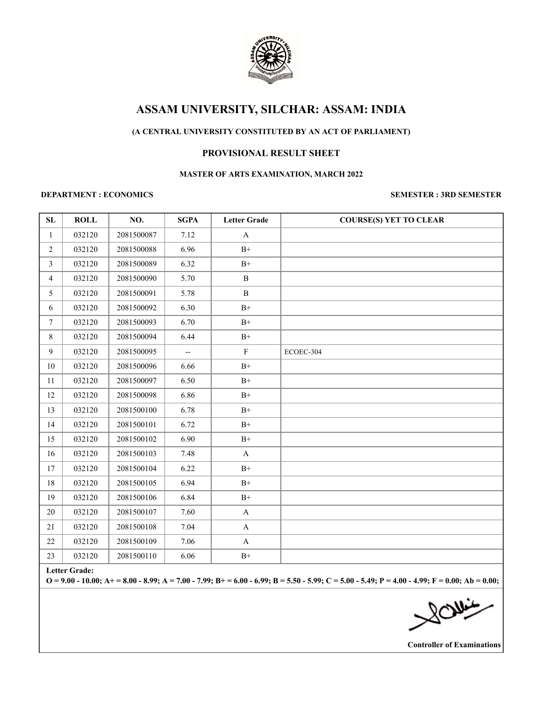

# **(A CENTRAL UNIVERSITY CONSTITUTED BY AN ACT OF PARLIAMENT)**

## **PROVISIONAL RESULT SHEET**

#### **MASTER OF ARTS EXAMINATION, MARCH 2022**

#### **DEPARTMENT : ECONOMICS SEMESTER : 3RD SEMESTER**

| SL             | <b>ROLL</b> | NO.        | <b>SGPA</b>              | <b>Letter Grade</b> | <b>COURSE(S) YET TO CLEAR</b> |
|----------------|-------------|------------|--------------------------|---------------------|-------------------------------|
| $\mathbf{1}$   | 032120      | 2081500087 | 7.12                     | $\mathbf{A}$        |                               |
| $\overline{2}$ | 032120      | 2081500088 | 6.96                     | $\mathrm{B}^{+}$    |                               |
| $\overline{3}$ | 032120      | 2081500089 | 6.32                     | $B+$                |                               |
| $\overline{4}$ | 032120      | 2081500090 | 5.70                     | $\, {\bf B}$        |                               |
| 5              | 032120      | 2081500091 | 5.78                     | $\, {\bf B}$        |                               |
| 6              | 032120      | 2081500092 | 6.30                     | $\rm B^+$           |                               |
| $\tau$         | 032120      | 2081500093 | 6.70                     | $\mathrm{B}^{+}$    |                               |
| $8\,$          | 032120      | 2081500094 | 6.44                     | $B+$                |                               |
| $\overline{9}$ | 032120      | 2081500095 | $\overline{\phantom{a}}$ | $\mathbf F$         | ECOEC-304                     |
| 10             | 032120      | 2081500096 | 6.66                     | $\rm B^+$           |                               |
| $11\,$         | 032120      | 2081500097 | 6.50                     | $B+$                |                               |
| 12             | 032120      | 2081500098 | 6.86                     | $\mathrm{B}^{+}$    |                               |
| 13             | 032120      | 2081500100 | 6.78                     | $B+$                |                               |
| 14             | 032120      | 2081500101 | 6.72                     | $\mathrm{B}^{+}$    |                               |
| 15             | 032120      | 2081500102 | 6.90                     | $B+$                |                               |
| 16             | 032120      | 2081500103 | 7.48                     | $\bf{A}$            |                               |
| 17             | 032120      | 2081500104 | 6.22                     | $\rm B^+$           |                               |
| $18\,$         | 032120      | 2081500105 | 6.94                     | $\mathrm{B}^{+}$    |                               |
| 19             | 032120      | 2081500106 | 6.84                     | $\rm B^+$           |                               |
| 20             | 032120      | 2081500107 | 7.60                     | $\mathbf A$         |                               |
| 21             | 032120      | 2081500108 | 7.04                     | $\mathbf A$         |                               |
| 22             | 032120      | 2081500109 | 7.06                     | $\mathbf A$         |                               |
| 23             | 032120      | 2081500110 | 6.06                     | $\mathrm{B}^{+}$    |                               |

**Letter Grade:**

**O = 9.00 - 10.00; A+ = 8.00 - 8.99; A = 7.00 - 7.99; B+ = 6.00 - 6.99; B = 5.50 - 5.99; C = 5.00 - 5.49; P = 4.00 - 4.99; F = 0.00; Ab = 0.00;**

**Controller of Examinations**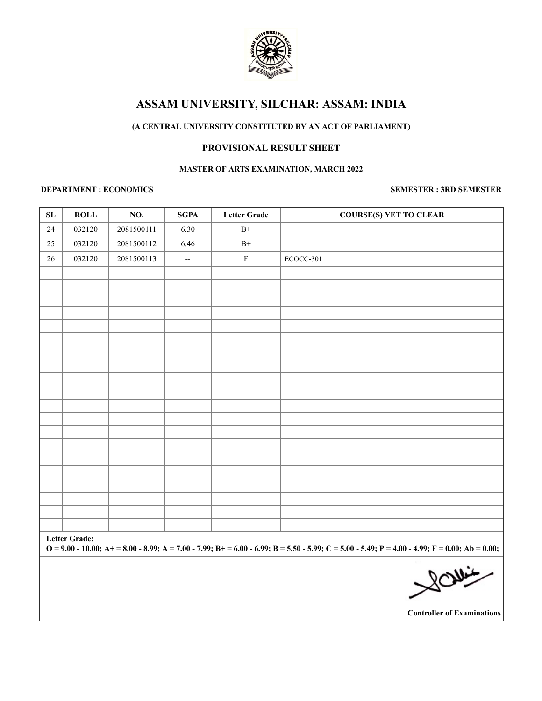

## **(A CENTRAL UNIVERSITY CONSTITUTED BY AN ACT OF PARLIAMENT)**

## **PROVISIONAL RESULT SHEET**

#### **MASTER OF ARTS EXAMINATION, MARCH 2022**

## **DEPARTMENT : ECONOMICS SEMESTER : 3RD SEMESTER**

| ${\bf SL}$ | <b>ROLL</b>                                                                                                                                                               | NO.        | <b>SGPA</b>              | <b>Letter Grade</b> | <b>COURSE(S) YET TO CLEAR</b>  |  |  |
|------------|---------------------------------------------------------------------------------------------------------------------------------------------------------------------------|------------|--------------------------|---------------------|--------------------------------|--|--|
| 24         | 032120                                                                                                                                                                    | 2081500111 | 6.30                     | $B+$                |                                |  |  |
| 25         | 032120                                                                                                                                                                    | 2081500112 | 6.46                     | $\mathrm{B}^+$      |                                |  |  |
| $26\,$     | 032120                                                                                                                                                                    | 2081500113 | $\overline{\phantom{a}}$ | ${\bf F}$           | ECOCC-301                      |  |  |
|            |                                                                                                                                                                           |            |                          |                     |                                |  |  |
|            |                                                                                                                                                                           |            |                          |                     |                                |  |  |
|            |                                                                                                                                                                           |            |                          |                     |                                |  |  |
|            |                                                                                                                                                                           |            |                          |                     |                                |  |  |
|            |                                                                                                                                                                           |            |                          |                     |                                |  |  |
|            |                                                                                                                                                                           |            |                          |                     |                                |  |  |
|            |                                                                                                                                                                           |            |                          |                     |                                |  |  |
|            |                                                                                                                                                                           |            |                          |                     |                                |  |  |
|            |                                                                                                                                                                           |            |                          |                     |                                |  |  |
|            |                                                                                                                                                                           |            |                          |                     |                                |  |  |
|            |                                                                                                                                                                           |            |                          |                     |                                |  |  |
|            |                                                                                                                                                                           |            |                          |                     |                                |  |  |
|            |                                                                                                                                                                           |            |                          |                     |                                |  |  |
|            |                                                                                                                                                                           |            |                          |                     |                                |  |  |
|            |                                                                                                                                                                           |            |                          |                     |                                |  |  |
|            |                                                                                                                                                                           |            |                          |                     |                                |  |  |
|            |                                                                                                                                                                           |            |                          |                     |                                |  |  |
|            |                                                                                                                                                                           |            |                          |                     |                                |  |  |
|            |                                                                                                                                                                           |            |                          |                     |                                |  |  |
|            | <b>Letter Grade:</b><br>$Q = 9.00 - 10.00$ ; A+ = 8.00 - 8.99; A = 7.00 - 7.99; B+ = 6.00 - 6.99; B = 5.50 - 5.99; C = 5.00 - 5.49; P = 4.00 - 4.99; F = 0.00; Ab = 0.00; |            |                          |                     |                                |  |  |
|            |                                                                                                                                                                           |            |                          |                     | $\mathcal{L} \sim \mathcal{M}$ |  |  |

 $\bowtie$ 

**Controller of Examinations**